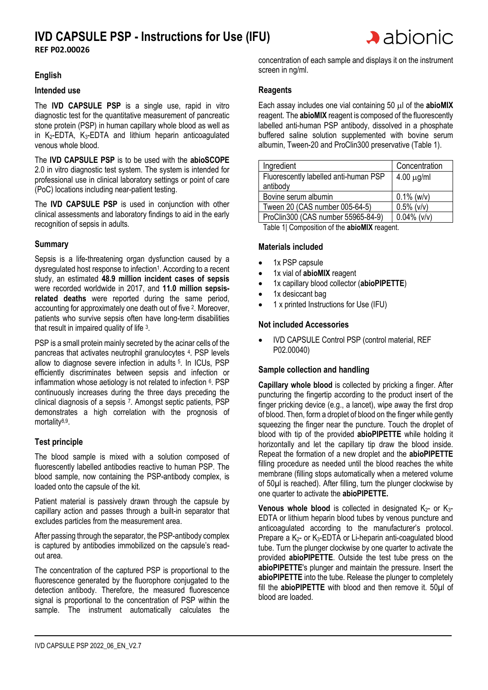

#### **English**

#### **Intended use**

The **IVD CAPSULE PSP** is a single use, rapid in vitro diagnostic test for the quantitative measurement of pancreatic stone protein (PSP) in human capillary whole blood as well as in  $K_2$ -EDTA,  $K_3$ -EDTA and lithium heparin anticoagulated venous whole blood.

The **IVD CAPSULE PSP** is to be used with the **abioSCOPE** 2.0 in vitro diagnostic test system. The system is intended for professional use in clinical laboratory settings or point of care (PoC) locations including near-patient testing.

The **IVD CAPSULE PSP** is used in conjunction with other clinical assessments and laboratory findings to aid in the early recognition of sepsis in adults.

#### **Summary**

Sepsis is a life-threatening organ dysfunction caused by a dysregulated host response to infection<sup>1</sup>. According to a recent study, an estimated **48.9 million incident cases of sepsis** were recorded worldwide in 2017, and **11.0 million sepsisrelated deaths** were reported during the same period, accounting for approximately one death out of five <sup>2</sup>. Moreover, patients who survive sepsis often have long-term disabilities that result in impaired quality of life 3.

PSP is a small protein mainly secreted by the acinar cells of the pancreas that activates neutrophil granulocytes <sup>4</sup> . PSP levels allow to diagnose severe infection in adults <sup>5</sup> . In ICUs, PSP efficiently discriminates between sepsis and infection or inflammation whose aetiology is not related to infection <sup>6</sup>. PSP continuously increases during the three days preceding the clinical diagnosis of a sepsis <sup>7</sup> . Amongst septic patients, PSP demonstrates a high correlation with the prognosis of mortality<sup>8,9</sup>.

#### **Test principle**

The blood sample is mixed with a solution composed of fluorescently labelled antibodies reactive to human PSP. The blood sample, now containing the PSP-antibody complex, is loaded onto the capsule of the kit.

Patient material is passively drawn through the capsule by capillary action and passes through a built-in separator that excludes particles from the measurement area.

After passing through the separator, the PSP-antibody complex is captured by antibodies immobilized on the capsule's readout area.

The concentration of the captured PSP is proportional to the fluorescence generated by the fluorophore conjugated to the detection antibody. Therefore, the measured fluorescence signal is proportional to the concentration of PSP within the sample. The instrument automatically calculates the

concentration of each sample and displays it on the instrument screen in ng/ml.

 $\blacktriangleright$  abionic

#### **Reagents**

Each assay includes one vial containing 50 ul of the **abioMIX** reagent. The **abioMIX** reagent is composed of the fluorescently labelled anti-human PSP antibody, dissolved in a phosphate buffered saline solution supplemented with bovine serum albumin, Tween-20 and ProClin300 preservative (Table 1).

| Ingredient                            | Concentration   |
|---------------------------------------|-----------------|
| Fluorescently labelled anti-human PSP | $4.00 \mu g/ml$ |
| antibody                              |                 |
| Bovine serum albumin                  | $0.1\%$ (w/v)   |
| Tween 20 (CAS number 005-64-5)        | $0.5\%$ (v/v)   |
| ProClin300 (CAS number 55965-84-9)    | $0.04\%$ (v/v)  |

Table 1| Composition of the **abioMIX** reagent.

#### **Materials included**

- 1x PSP capsule
- 1x vial of **abioMIX** reagent
- 1x capillary blood collector (**abioPIPETTE**)
- 1x desiccant bag
- 1 x printed Instructions for Use (IFU)

#### **Not included Accessories**

• IVD CAPSULE Control PSP (control material, REF P02.00040)

#### **Sample collection and handling**

**Capillary whole blood** is collected by pricking a finger. After puncturing the fingertip according to the product insert of the finger pricking device (e.g., a lancet), wipe away the first drop of blood. Then, form a droplet of blood on the finger while gently squeezing the finger near the puncture. Touch the droplet of blood with tip of the provided **abioPIPETTE** while holding it horizontally and let the capillary tip draw the blood inside. Repeat the formation of a new droplet and the **abioPIPETTE** filling procedure as needed until the blood reaches the white membrane (filling stops automatically when a metered volume of 50µl is reached). After filling, turn the plunger clockwise by one quarter to activate the **abioPIPETTE.**

**Venous whole blood** is collected in designated  $K_2$ - or  $K_3$ -EDTA or lithium heparin blood tubes by venous puncture and anticoagulated according to the manufacturer's protocol. Prepare a K<sub>2</sub>- or K<sub>3</sub>-EDTA or Li-heparin anti-coagulated blood tube. Turn the plunger clockwise by one quarter to activate the provided **abioPIPETTE**. Outside the test tube press on the **abioPIPETTE**'s plunger and maintain the pressure. Insert the **abioPIPETTE** into the tube. Release the plunger to completely fill the **abioPIPETTE** with blood and then remove it. 50µl of blood are loaded.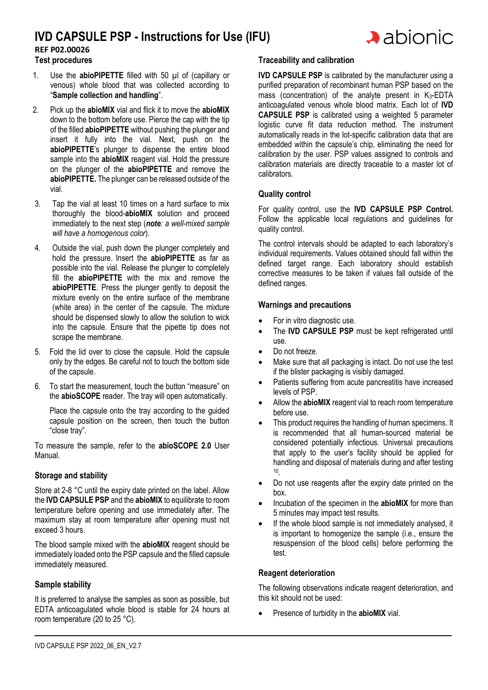

### **REF P02.00026**

**Test procedures**

- 1. Use the **abioPIPETTE** filled with 50 µl of (capillary or venous) whole blood that was collected according to "**Sample collection and handling**".
- 2. Pick up the **abioMIX** vial and flick it to move the **abioMIX** down to the bottom before use. Pierce the cap with the tip of the filled **abioPIPETTE** without pushing the plunger and insert it fully into the vial. Next, push on the **abioPIPETTE**'s plunger to dispense the entire blood sample into the **abioMIX** reagent vial. Hold the pressure on the plunger of the **abioPIPETTE** and remove the **abioPIPETTE.** The plunger can be released outside of the vial.
- 3. Tap the vial at least 10 times on a hard surface to mix thoroughly the blood-**abioMIX** solution and proceed immediately to the next step (*note: a well-mixed sample will have a homogenous color*).
- 4. Outside the vial, push down the plunger completely and hold the pressure. Insert the **abioPIPETTE** as far as possible into the vial. Release the plunger to completely fill the **abioPIPETTE** with the mix and remove the **abioPIPETTE**. Press the plunger gently to deposit the mixture evenly on the entire surface of the membrane (white area) in the center of the capsule. The mixture should be dispensed slowly to allow the solution to wick into the capsule. Ensure that the pipette tip does not scrape the membrane.
- 5. Fold the lid over to close the capsule. Hold the capsule only by the edges. Be careful not to touch the bottom side of the capsule.
- 6. To start the measurement, touch the button "measure" on the **abioSCOPE** reader. The tray will open automatically.

Place the capsule onto the tray according to the guided capsule position on the screen, then touch the button "close tray".

To measure the sample, refer to the **abioSCOPE 2.0** User Manual.

#### **Storage and stability**

Store at 2-8 °C until the expiry date printed on the label. Allow the **IVD CAPSULE PSP** and the **abioMIX** to equilibrate to room temperature before opening and use immediately after. The maximum stay at room temperature after opening must not exceed 3 hours.

The blood sample mixed with the **abioMIX** reagent should be immediately loaded onto the PSP capsule and the filled capsule immediately measured.

#### **Sample stability**

It is preferred to analyse the samples as soon as possible, but EDTA anticoagulated whole blood is stable for 24 hours at room temperature (20 to 25 °C).

#### **Traceability and calibration**

**IVD CAPSULE PSP** is calibrated by the manufacturer using a purified preparation of recombinant human PSP based on the mass (concentration) of the analyte present in  $K_3$ -EDTA anticoagulated venous whole blood matrix. Each lot of **IVD CAPSULE PSP** is calibrated using a weighted 5 parameter logistic curve fit data reduction method. The instrument automatically reads in the lot-specific calibration data that are embedded within the capsule's chip, eliminating the need for calibration by the user. PSP values assigned to controls and calibration materials are directly traceable to a master lot of calibrators.

#### **Quality control**

For quality control, use the **IVD CAPSULE PSP Control.** Follow the applicable local regulations and guidelines for quality control.

The control intervals should be adapted to each laboratory's individual requirements. Values obtained should fall within the defined target range. Each laboratory should establish corrective measures to be taken if values fall outside of the defined ranges.

#### **Warnings and precautions**

- For in vitro diagnostic use.
- The **IVD CAPSULE PSP** must be kept refrigerated until use.
- Do not freeze.
- Make sure that all packaging is intact. Do not use the test if the blister packaging is visibly damaged.
- Patients suffering from acute pancreatitis have increased levels of PSP.
- Allow the **abioMIX** reagent vial to reach room temperature before use.
- This product requires the handling of human specimens. It is recommended that all human-sourced material be considered potentially infectious. Universal precautions that apply to the user's facility should be applied for handling and disposal of materials during and after testing 10 .
- Do not use reagents after the expiry date printed on the box.
- Incubation of the specimen in the **abioMIX** for more than 5 minutes may impact test results.
- If the whole blood sample is not immediately analysed, it is important to homogenize the sample (i.e., ensure the resuspension of the blood cells) before performing the test.

#### **Reagent deterioration**

The following observations indicate reagent deterioration, and this kit should not be used:

• Presence of turbidity in the **abioMIX** vial.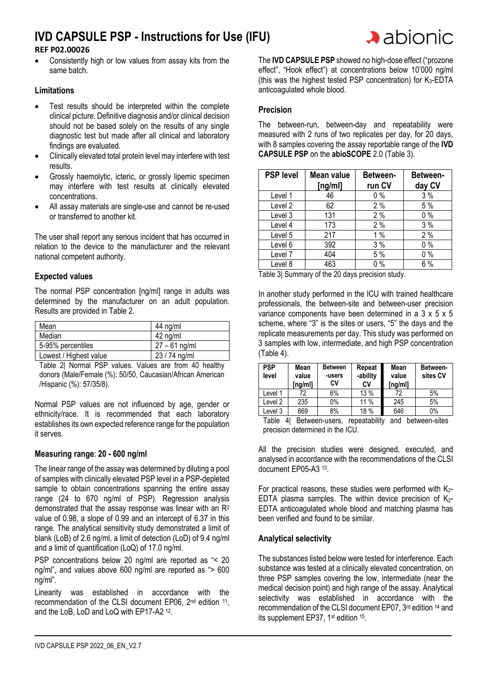#### **REF P02.00026**

• Consistently high or low values from assay kits from the same batch.

#### **Limitations**

- Test results should be interpreted within the complete clinical picture. Definitive diagnosis and/or clinical decision should not be based solely on the results of any single diagnostic test but made after all clinical and laboratory findings are evaluated.
- Clinically elevated total protein level may interfere with test results.
- Grossly haemolytic, icteric, or grossly lipemic specimen may interfere with test results at clinically elevated concentrations.
- All assay materials are single-use and cannot be re-used or transferred to another kit.

The user shall report any serious incident that has occurred in relation to the device to the manufacturer and the relevant national competent authority.

#### **Expected values**

The normal PSP concentration [ng/ml] range in adults was determined by the manufacturer on an adult population. Results are provided in Table 2.

| Mean                   | 44 ng/ml        |
|------------------------|-----------------|
| Median                 | 42 ng/ml        |
| 5-95% percentiles      | $27 - 61$ ng/ml |
| Lowest / Highest value | 23 / 74 ng/ml   |

Table 2| Normal PSP values. Values are from 40 healthy donors (Male/Female (%): 50/50, Caucasian/African American /Hispanic (%): 57/35/8).

Normal PSP values are not influenced by age, gender or ethnicity/race. It is recommended that each laboratory establishes its own expected reference range for the population it serves.

#### **Measuring range**: **20 - 600 ng/ml**

The linear range of the assay was determined by diluting a pool of samples with clinically elevated PSP level in a PSP-depleted sample to obtain concentrations spanning the entire assay range (24 to 670 ng/ml of PSP). Regression analysis demonstrated that the assay response was linear with an R<sup>2</sup> value of 0.98, a slope of 0.99 and an intercept of 6.37 in this range. The analytical sensitivity study demonstrated a limit of blank (LoB) of 2.6 ng/ml, a limit of detection (LoD) of 9.4 ng/ml and a limit of quantification (LoQ) of 17.0 ng/ml.

PSP concentrations below 20 ng/ml are reported as "< 20 ng/ml", and values above 600 ng/ml are reported as "> 600 ng/ml".

Linearity was established in accordance with the recommendation of the CLSI document EP06, 2<sup>nd</sup> edition <sup>11</sup>, and the LoB, LoD and LoQ with EP17-A2<sup>12</sup>.

The **IVD CAPSULE PSP** showed no high-dose effect ("prozone effect", "Hook effect") at concentrations below 10'000 ng/ml (this was the highest tested PSP concentration) for  $K_3$ -EDTA anticoagulated whole blood.

#### **Precision**

The between-run, between-day and repeatability were measured with 2 runs of two replicates per day, for 20 days, with 8 samples covering the assay reportable range of the **IVD CAPSULE PSP** on the **abioSCOPE** 2.0 (Table 3).

| <b>PSP level</b> | Mean value<br>[ng/ml] | Between-<br>run CV | Between-<br>day CV |
|------------------|-----------------------|--------------------|--------------------|
| Level 1          | 46                    | 0%                 | 3%                 |
| Level 2          | 62                    | 2%                 | 5 %                |
| Level 3          | 131                   | 2%                 | $0\%$              |
| Level 4          | 173                   | 2%                 | 3%                 |
| Level 5          | 217                   | 1%                 | 2%                 |
| Level 6          | 392                   | 3%                 | 0%                 |
| Level 7          | 404                   | 5 %                | $0\%$              |
| Level 8          | 463                   | $0\%$              | 6%                 |

Table 3| Summary of the 20 days precision study.

In another study performed in the ICU with trained healthcare professionals, the between-site and between-user precision variance components have been determined in a  $3 \times 5 \times 5$ scheme, where "3" is the sites or users, "5" the days and the replicate measurements per day. This study was performed on 3 samples with low, intermediate, and high PSP concentration (Table 4).

| <b>PSP</b><br>level                                                    | Mean<br>value<br>ng/ml] | <b>Between</b><br>-users<br>CV | Repeat<br>-ability<br>C٧ | Mean<br>value<br>ng/ml] | Between-<br>sites CV |
|------------------------------------------------------------------------|-------------------------|--------------------------------|--------------------------|-------------------------|----------------------|
| Level 1                                                                | 72                      | 6%                             | 13 %                     | 72                      | 5%                   |
| Level 2                                                                | 235                     | $0\%$                          | 11 $%$                   | 245                     | 5%                   |
| Level 3                                                                | 669                     | 8%                             | 18 %                     | 646                     | 0%                   |
| $\cdots$<br>-<br>. .<br>$\mathbf{1}$ and $\mathbf{1}$ and $\mathbf{1}$ |                         |                                |                          |                         |                      |

Table 4| Between-users, repeatability and between-sites precision determined in the ICU.

All the precision studies were designed, executed, and analysed in accordance with the recommendations of the CLSI document EP05-A3 <sup>13</sup> .

For practical reasons, these studies were performed with  $K_{2}$ -EDTA plasma samples. The within device precision of  $K_{2-}$ EDTA anticoagulated whole blood and matching plasma has been verified and found to be similar.

#### **Analytical selectivity**

The substances listed below were tested for interference. Each substance was tested at a clinically elevated concentration, on three PSP samples covering the low, intermediate (near the medical decision point) and high range of the assay. Analytical selectivity was established in accordance with the recommendation of the CLSI document EP07, 3rd edition 14 and its supplement EP37, 1<sup>st</sup> edition <sup>15</sup>.